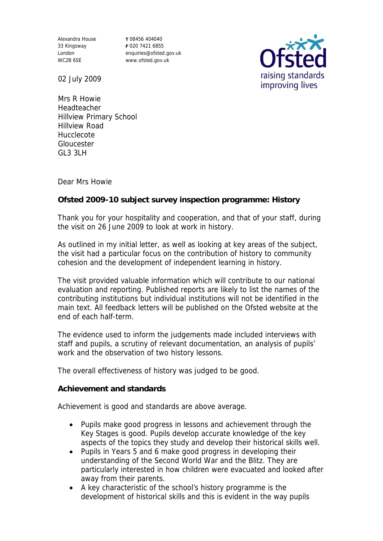Alexandra House 33 Kingsway London WC2B 6SE

**T** 08456 404040 **F** 020 7421 6855 enquiries@ofsted.gov.uk www.ofsted.gov.uk



02 July 2009

Mrs R Howie Headteacher Hillview Primary School Hillview Road Hucclecote Gloucester GL3 3LH

Dear Mrs Howie

**Ofsted 2009-10 subject survey inspection programme: History**

Thank you for your hospitality and cooperation, and that of your staff, during the visit on 26 June 2009 to look at work in history.

As outlined in my initial letter, as well as looking at key areas of the subject, the visit had a particular focus on the contribution of history to community cohesion and the development of independent learning in history.

The visit provided valuable information which will contribute to our national evaluation and reporting. Published reports are likely to list the names of the contributing institutions but individual institutions will not be identified in the main text. All feedback letters will be published on the Ofsted website at the end of each half-term.

The evidence used to inform the judgements made included interviews with staff and pupils, a scrutiny of relevant documentation, an analysis of pupils' work and the observation of two history lessons.

The overall effectiveness of history was judged to be good.

**Achievement and standards**

Achievement is good and standards are above average.

- Pupils make good progress in lessons and achievement through the Key Stages is good. Pupils develop accurate knowledge of the key aspects of the topics they study and develop their historical skills well.
- Pupils in Years 5 and 6 make good progress in developing their understanding of the Second World War and the Blitz. They are particularly interested in how children were evacuated and looked after away from their parents.
- A key characteristic of the school's history programme is the development of historical skills and this is evident in the way pupils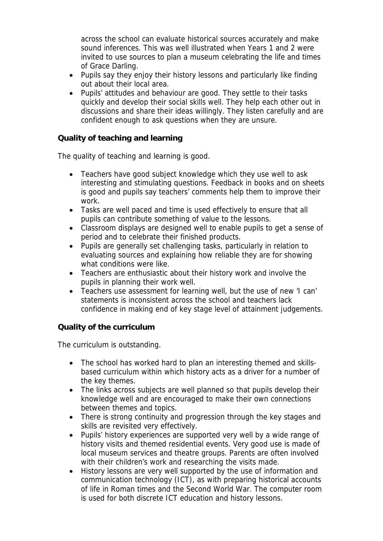across the school can evaluate historical sources accurately and make sound inferences. This was well illustrated when Years 1 and 2 were invited to use sources to plan a museum celebrating the life and times of Grace Darling.

- Pupils say they enjoy their history lessons and particularly like finding out about their local area.
- Pupils' attitudes and behaviour are good. They settle to their tasks quickly and develop their social skills well. They help each other out in discussions and share their ideas willingly. They listen carefully and are confident enough to ask questions when they are unsure.

**Quality of teaching and learning**

The quality of teaching and learning is good.

- Teachers have good subject knowledge which they use well to ask interesting and stimulating questions. Feedback in books and on sheets is good and pupils say teachers' comments help them to improve their work.
- Tasks are well paced and time is used effectively to ensure that all pupils can contribute something of value to the lessons.
- Classroom displays are designed well to enable pupils to get a sense of period and to celebrate their finished products.
- Pupils are generally set challenging tasks, particularly in relation to evaluating sources and explaining how reliable they are for showing what conditions were like.
- Teachers are enthusiastic about their history work and involve the pupils in planning their work well.
- Teachers use assessment for learning well, but the use of new 'I can' statements is inconsistent across the school and teachers lack confidence in making end of key stage level of attainment judgements.

**Quality of the curriculum** 

The curriculum is outstanding.

- The school has worked hard to plan an interesting themed and skillsbased curriculum within which history acts as a driver for a number of the key themes.
- The links across subjects are well planned so that pupils develop their knowledge well and are encouraged to make their own connections between themes and topics.
- There is strong continuity and progression through the key stages and skills are revisited very effectively.
- Pupils' history experiences are supported very well by a wide range of history visits and themed residential events. Very good use is made of local museum services and theatre groups. Parents are often involved with their children's work and researching the visits made.
- History lessons are very well supported by the use of information and communication technology (ICT), as with preparing historical accounts of life in Roman times and the Second World War. The computer room is used for both discrete ICT education and history lessons.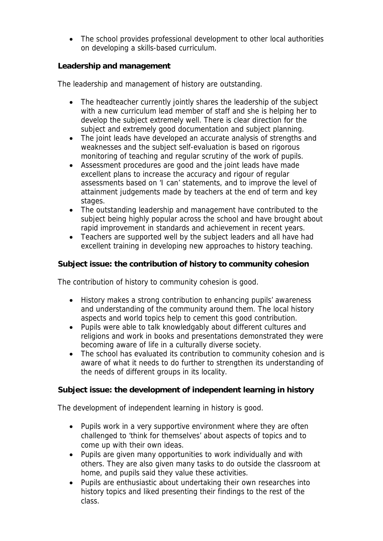• The school provides professional development to other local authorities on developing a skills-based curriculum.

**Leadership and management**

The leadership and management of history are outstanding.

- The headteacher currently jointly shares the leadership of the subject with a new curriculum lead member of staff and she is helping her to develop the subject extremely well. There is clear direction for the subject and extremely good documentation and subject planning.
- The joint leads have developed an accurate analysis of strengths and weaknesses and the subject self-evaluation is based on rigorous monitoring of teaching and regular scrutiny of the work of pupils.
- Assessment procedures are good and the joint leads have made excellent plans to increase the accuracy and rigour of regular assessments based on 'I can' statements, and to improve the level of attainment judgements made by teachers at the end of term and key stages.
- The outstanding leadership and management have contributed to the subject being highly popular across the school and have brought about rapid improvement in standards and achievement in recent years.
- Teachers are supported well by the subject leaders and all have had excellent training in developing new approaches to history teaching.

**Subject issue: the contribution of history to community cohesion**

The contribution of history to community cohesion is good.

- History makes a strong contribution to enhancing pupils' awareness and understanding of the community around them. The local history aspects and world topics help to cement this good contribution.
- Pupils were able to talk knowledgably about different cultures and religions and work in books and presentations demonstrated they were becoming aware of life in a culturally diverse society.
- The school has evaluated its contribution to community cohesion and is aware of what it needs to do further to strengthen its understanding of the needs of different groups in its locality.

**Subject issue: the development of independent learning in history**

The development of independent learning in history is good.

- Pupils work in a very supportive environment where they are often challenged to 'think for themselves' about aspects of topics and to come up with their own ideas.
- Pupils are given many opportunities to work individually and with others. They are also given many tasks to do outside the classroom at home, and pupils said they value these activities.
- Pupils are enthusiastic about undertaking their own researches into history topics and liked presenting their findings to the rest of the class.